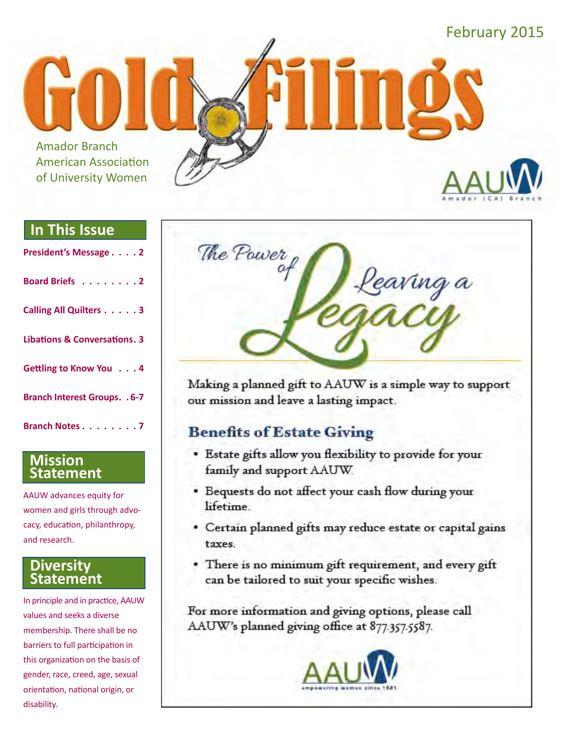

#### **In This Issue**

| President's Message 2                   |
|-----------------------------------------|
| Board Briefs 2                          |
| <b>Calling All Quilters 3</b>           |
| <b>Libations &amp; Conversations. 3</b> |
| Gettling to Know You 4                  |
| <b>Branch Interest Groups. . 6-7</b>    |
| Branch Notes 7                          |

#### **Mission Statement**

AAUW advances equity for women and girls through advocacy, education, philanthropy, and research.

#### **Diversity Statement**

In principle and in practice, AAUW values and seeks a diverse membership. There shall be no barriers to full participation in this organization on the basis of gender, race, creed, age, sexual orientation, national origin, or disability.



Making a planned gift to AAUW is a simple way to support our mission and leave a lasting impact.

### **Benefits of Estate Giving**

- · Estate gifts allow you flexibility to provide for your family and support AAUW.
- · Bequests do not affect your cash flow during your lifetime.
- · Certain planned gifts may reduce estate or capital gains taxes.
- . There is no minimum gift requirement, and every gift can be tailored to suit your specific wishes.

For more information and giving options, please call AAUW's planned giving office at 877.357.5587.

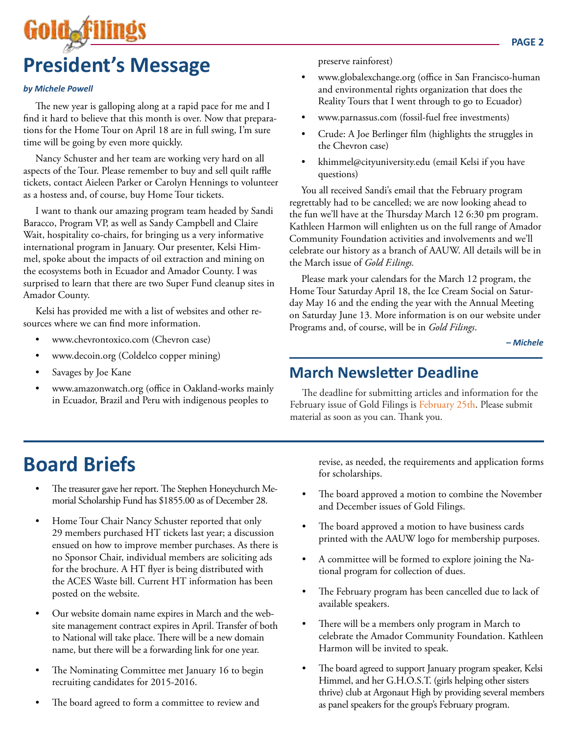# Gold<sub>e</sub>filin **President's Message**

#### *by Michele Powell*

The new year is galloping along at a rapid pace for me and I find it hard to believe that this month is over. Now that preparations for the Home Tour on April 18 are in full swing, I'm sure time will be going by even more quickly.

Nancy Schuster and her team are working very hard on all aspects of the Tour. Please remember to buy and sell quilt raffle tickets, contact Aieleen Parker or Carolyn Hennings to volunteer as a hostess and, of course, buy Home Tour tickets.

I want to thank our amazing program team headed by Sandi Baracco, Program VP, as well as Sandy Campbell and Claire Wait, hospitality co-chairs, for bringing us a very informative international program in January. Our presenter, Kelsi Himmel, spoke about the impacts of oil extraction and mining on the ecosystems both in Ecuador and Amador County. I was surprised to learn that there are two Super Fund cleanup sites in Amador County.

Kelsi has provided me with a list of websites and other resources where we can find more information.

- • www.chevrontoxico.com (Chevron case)
- www.decoin.org (Coldelco copper mining)
- Savages by Joe Kane
- www.amazonwatch.org (office in Oakland-works mainly in Ecuador, Brazil and Peru with indigenous peoples to

preserve rainforest)

- www.globalexchange.org (office in San Francisco-human and environmental rights organization that does the Reality Tours that I went through to go to Ecuador)
- www.parnassus.com (fossil-fuel free investments)
- Crude: A Joe Berlinger film (highlights the struggles in the Chevron case)
- khimmel@cityuniversity.edu (email Kelsi if you have questions)

You all received Sandi's email that the February program regrettably had to be cancelled; we are now looking ahead to the fun we'll have at the Thursday March 12 6:30 pm program. Kathleen Harmon will enlighten us on the full range of Amador Community Foundation activities and involvements and we'll celebrate our history as a branch of AAUW. All details will be in the March issue of *Gold F.ilings.*

Please mark your calendars for the March 12 program, the Home Tour Saturday April 18, the Ice Cream Social on Saturday May 16 and the ending the year with the Annual Meeting on Saturday June 13. More information is on our website under Programs and, of course, will be in *Gold Filings*.

*– Michele*

### **March Newsletter Deadline**

The deadline for submitting articles and information for the February issue of Gold Filings is February 25th. Please submit material as soon as you can. Thank you.

# **Board Briefs**

- The treasurer gave her report. The Stephen Honeychurch Memorial Scholarship Fund has \$1855.00 as of December 28.
- Home Tour Chair Nancy Schuster reported that only 29 members purchased HT tickets last year; a discussion ensued on how to improve member purchases. As there is no Sponsor Chair, individual members are soliciting ads for the brochure. A HT flyer is being distributed with the ACES Waste bill. Current HT information has been posted on the website.
- Our website domain name expires in March and the website management contract expires in April. Transfer of both to National will take place. There will be a new domain name, but there will be a forwarding link for one year.
- The Nominating Committee met January 16 to begin recruiting candidates for 2015-2016.
- The board agreed to form a committee to review and

revise, as needed, the requirements and application forms for scholarships.

- The board approved a motion to combine the November and December issues of Gold Filings.
- The board approved a motion to have business cards printed with the AAUW logo for membership purposes.
- A committee will be formed to explore joining the National program for collection of dues.
- The February program has been cancelled due to lack of available speakers.
- There will be a members only program in March to celebrate the Amador Community Foundation. Kathleen Harmon will be invited to speak.
- The board agreed to support January program speaker, Kelsi Himmel, and her G.H.O.S.T. (girls helping other sisters thrive) club at Argonaut High by providing several members as panel speakers for the group's February program.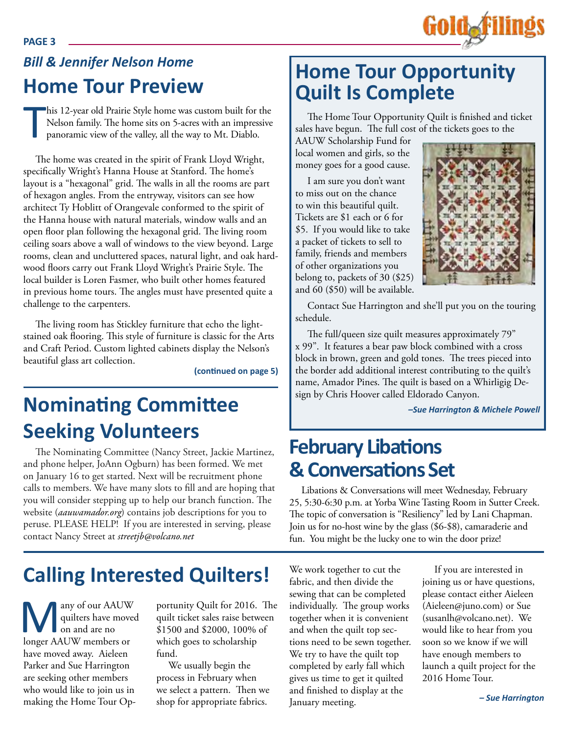

### *Bill & Jennifer Nelson Home* **Home Tour Preview**

T his 12-year old Prairie Style home was custom built for the Nelson family. The home sits on 5-acres with an impressive panoramic view of the valley, all the way to Mt. Diablo.

The home was created in the spirit of Frank Lloyd Wright, specifically Wright's Hanna House at Stanford. The home's layout is a "hexagonal" grid. The walls in all the rooms are part of hexagon angles. From the entryway, visitors can see how architect Ty Hoblitt of Orangevale conformed to the spirit of the Hanna house with natural materials, window walls and an open floor plan following the hexagonal grid. The living room ceiling soars above a wall of windows to the view beyond. Large rooms, clean and uncluttered spaces, natural light, and oak hardwood floors carry out Frank Lloyd Wright's Prairie Style. The local builder is Loren Fasmer, who built other homes featured in previous home tours. The angles must have presented quite a challenge to the carpenters.

The living room has Stickley furniture that echo the lightstained oak flooring. This style of furniture is classic for the Arts and Craft Period. Custom lighted cabinets display the Nelson's beautiful glass art collection.

**(continued on page 5)**

# **Nominating Committee Seeking Volunteers**

The Nominating Committee (Nancy Street, Jackie Martinez, and phone helper, JoAnn Ogburn) has been formed. We met on January 16 to get started. Next will be recruitment phone calls to members. We have many slots to fill and are hoping that you will consider stepping up to help our branch function. The website (*aauwamador.org*) contains job descriptions for you to peruse. PLEASE HELP! If you are interested in serving, please contact Nancy Street at *streetjb@volcano.net*

# **Home Tour Opportunity Quilt Is Complete**

The Home Tour Opportunity Quilt is finished and ticket sales have begun. The full cost of the tickets goes to the

AAUW Scholarship Fund for local women and girls, so the money goes for a good cause.

I am sure you don't want to miss out on the chance to win this beautiful quilt. Tickets are \$1 each or 6 for \$5. If you would like to take a packet of tickets to sell to family, friends and members of other organizations you belong to, packets of 30 (\$25) and 60 (\$50) will be available.



Contact Sue Harrington and she'll put you on the touring schedule.

The full/queen size quilt measures approximately 79" x 99". It features a bear paw block combined with a cross block in brown, green and gold tones. The trees pieced into the border add additional interest contributing to the quilt's name, Amador Pines. The quilt is based on a Whirligig Design by Chris Hoover called Eldorado Canyon.

*–Sue Harrington & Michele Powell*

### **February Libations & Conversations Set**

Libations & Conversations will meet Wednesday, February 25, 5:30-6:30 p.m. at Yorba Wine Tasting Room in Sutter Creek. The topic of conversation is "Resiliency" led by Lani Chapman. Join us for no-host wine by the glass (\$6-\$8), camaraderie and fun. You might be the lucky one to win the door prize!

# **Calling Interested Quilters!**

**Many of our AAUW**<br>quilters have moved<br>on and are no<br>longer AAUW members or quilters have moved on and are no have moved away. Aieleen Parker and Sue Harrington are seeking other members who would like to join us in making the Home Tour Op-

portunity Quilt for 2016. The quilt ticket sales raise between \$1500 and \$2000, 100% of which goes to scholarship fund.

We usually begin the process in February when we select a pattern. Then we shop for appropriate fabrics.

We work together to cut the fabric, and then divide the sewing that can be completed individually. The group works together when it is convenient and when the quilt top sections need to be sewn together. We try to have the quilt top completed by early fall which gives us time to get it quilted and finished to display at the January meeting.

If you are interested in joining us or have questions, please contact either Aieleen (Aieleen@juno.com) or Sue (susanlh@volcano.net). We would like to hear from you soon so we know if we will have enough members to launch a quilt project for the 2016 Home Tour.

#### **PAGE 3**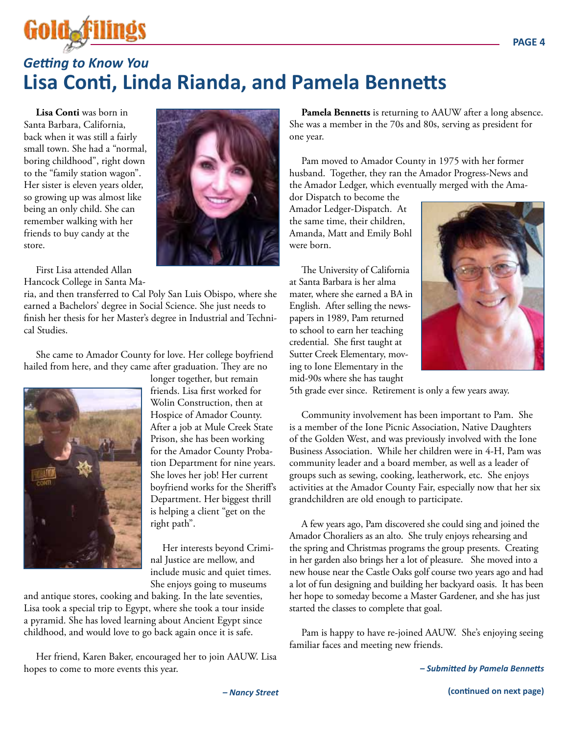

### *Getting to Know You* **Lisa Conti, Linda Rianda, and Pamela Bennetts**

**Lisa Conti** was born in Santa Barbara, California, back when it was still a fairly small town. She had a "normal, boring childhood", right down to the "family station wagon". Her sister is eleven years older, so growing up was almost like being an only child. She can remember walking with her friends to buy candy at the store.



First Lisa attended Allan Hancock College in Santa Ma-

ria, and then transferred to Cal Poly San Luis Obispo, where she earned a Bachelors' degree in Social Science. She just needs to finish her thesis for her Master's degree in Industrial and Technical Studies.

She came to Amador County for love. Her college boyfriend hailed from here, and they came after graduation. They are no



longer together, but remain friends. Lisa first worked for Wolin Construction, then at Hospice of Amador County. After a job at Mule Creek State Prison, she has been working for the Amador County Probation Department for nine years. She loves her job! Her current boyfriend works for the Sheriff's Department. Her biggest thrill is helping a client "get on the right path".

Her interests beyond Criminal Justice are mellow, and include music and quiet times. She enjoys going to museums

and antique stores, cooking and baking. In the late seventies, Lisa took a special trip to Egypt, where she took a tour inside a pyramid. She has loved learning about Ancient Egypt since childhood, and would love to go back again once it is safe.

Her friend, Karen Baker, encouraged her to join AAUW. Lisa hopes to come to more events this year.

**Pamela Bennetts** is returning to AAUW after a long absence. She was a member in the 70s and 80s, serving as president for one year.

Pam moved to Amador County in 1975 with her former husband. Together, they ran the Amador Progress-News and the Amador Ledger, which eventually merged with the Ama-

dor Dispatch to become the Amador Ledger-Dispatch. At the same time, their children, Amanda, Matt and Emily Bohl were born.

The University of California at Santa Barbara is her alma mater, where she earned a BA in English. After selling the newspapers in 1989, Pam returned to school to earn her teaching credential. She first taught at Sutter Creek Elementary, moving to Ione Elementary in the mid-90s where she has taught



5th grade ever since. Retirement is only a few years away.

Community involvement has been important to Pam. She is a member of the Ione Picnic Association, Native Daughters of the Golden West, and was previously involved with the Ione Business Association. While her children were in 4-H, Pam was community leader and a board member, as well as a leader of groups such as sewing, cooking, leatherwork, etc. She enjoys activities at the Amador County Fair, especially now that her six grandchildren are old enough to participate.

A few years ago, Pam discovered she could sing and joined the Amador Choraliers as an alto. She truly enjoys rehearsing and the spring and Christmas programs the group presents. Creating in her garden also brings her a lot of pleasure. She moved into a new house near the Castle Oaks golf course two years ago and had a lot of fun designing and building her backyard oasis. It has been her hope to someday become a Master Gardener, and she has just started the classes to complete that goal.

Pam is happy to have re-joined AAUW. She's enjoying seeing familiar faces and meeting new friends.

*– Submitted by Pamela Bennetts*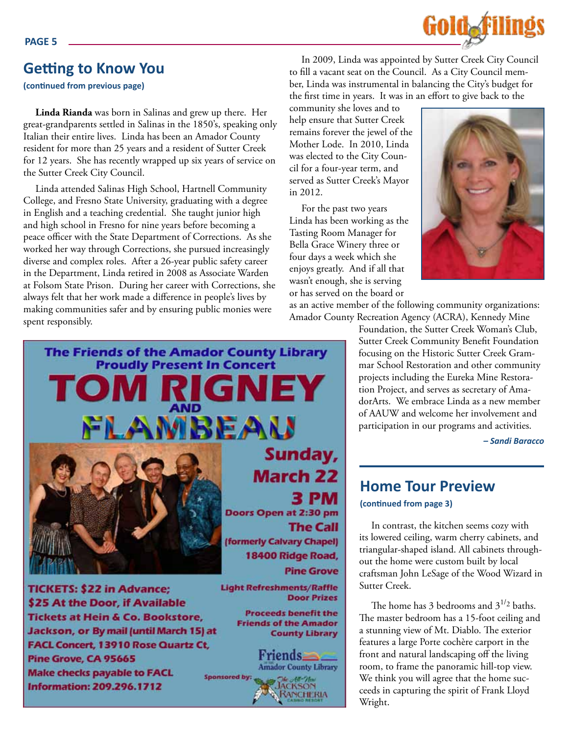### **Getting to Know You**

#### **(continued from previous page)**

**Linda Rianda** was born in Salinas and grew up there. Her great-grandparents settled in Salinas in the 1850's, speaking only Italian their entire lives. Linda has been an Amador County resident for more than 25 years and a resident of Sutter Creek for 12 years. She has recently wrapped up six years of service on the Sutter Creek City Council.

Linda attended Salinas High School, Hartnell Community College, and Fresno State University, graduating with a degree in English and a teaching credential. She taught junior high and high school in Fresno for nine years before becoming a peace officer with the State Department of Corrections. As she worked her way through Corrections, she pursued increasingly diverse and complex roles. After a 26-year public safety career in the Department, Linda retired in 2008 as Associate Warden at Folsom State Prison. During her career with Corrections, she always felt that her work made a difference in people's lives by making communities safer and by ensuring public monies were spent responsibly.



In 2009, Linda was appointed by Sutter Creek City Council to fill a vacant seat on the Council. As a City Council member, Linda was instrumental in balancing the City's budget for the first time in years. It was in an effort to give back to the

community she loves and to help ensure that Sutter Creek remains forever the jewel of the Mother Lode. In 2010, Linda was elected to the City Council for a four-year term, and served as Sutter Creek's Mayor in 2012.

For the past two years Linda has been working as the Tasting Room Manager for Bella Grace Winery three or four days a week which she enjoys greatly. And if all that wasn't enough, she is serving or has served on the board or



as an active member of the following community organizations: Amador County Recreation Agency (ACRA), Kennedy Mine

> Foundation, the Sutter Creek Woman's Club, Sutter Creek Community Benefit Foundation focusing on the Historic Sutter Creek Grammar School Restoration and other community projects including the Eureka Mine Restoration Project, and serves as secretary of AmadorArts. We embrace Linda as a new member of AAUW and welcome her involvement and participation in our programs and activities.

> > *– Sandi Baracco*

#### **Home Tour Preview**

**(continued from page 3)**

In contrast, the kitchen seems cozy with its lowered ceiling, warm cherry cabinets, and triangular-shaped island. All cabinets throughout the home were custom built by local craftsman John LeSage of the Wood Wizard in Sutter Creek.

The home has 3 bedrooms and  $3^{1/2}$  baths. The master bedroom has a 15-foot ceiling and a stunning view of Mt. Diablo. The exterior features a large Porte cochère carport in the front and natural landscaping off the living room, to frame the panoramic hill-top view. We think you will agree that the home succeeds in capturing the spirit of Frank Lloyd Wright.



Pine Grove, CA 95665 **Make checks payable to FACL Information: 209.296.1712** 

Friends-**Amador County Library Sponsored by: JACKSON**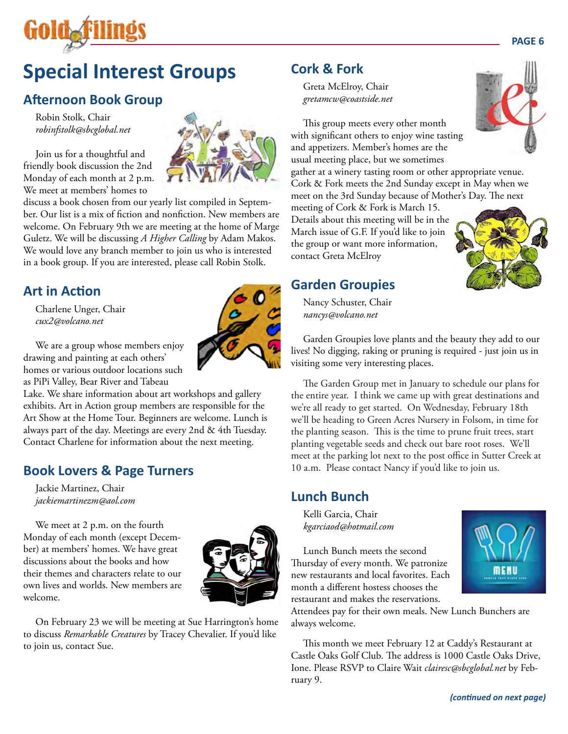

# **Special Interest Groups**

### **Afternoon Book Group**

Robin Stolk, Chair *robinfstolk@sbcglobal.net*

Join us for a thoughtful and friendly book discussion the 2nd Monday of each month at 2 p.m. We meet at members' homes to



discuss a book chosen from our yearly list compiled in September. Our list is a mix of fiction and nonfiction. New members are welcome. On February 9th we are meeting at the home of Marge Guletz. We will be discussing *A Higher Calling* by Adam Makos. We would love any branch member to join us who is interested in a book group. If you are interested, please call Robin Stolk.

#### **Art in Action**

Charlene Unger, Chair *cux2@volcano.net*

We are a group whose members enjoy drawing and painting at each others' homes or various outdoor locations such as PiPi Valley, Bear River and Tabeau

Lake. We share information about art workshops and gallery exhibits. Art in Action group members are responsible for the Art Show at the Home Tour. Beginners are welcome. Lunch is always part of the day. Meetings are every 2nd & 4th Tuesday. Contact Charlene for information about the next meeting.

#### **Book Lovers & Page Turners**

Jackie Martinez, Chair *jackiemartinezm@aol.com*

We meet at 2 p.m. on the fourth Monday of each month (except December) at members' homes. We have great discussions about the books and how their themes and characters relate to our own lives and worlds. New members are welcome.



On February 23 we will be meeting at Sue Harrington's home to discuss *Remarkable Creatures* by Tracey Chevalier. If you'd like to join us, contact Sue.

#### **Cork & Fork**

Greta McElroy, Chair *gretamcw@coastside.net*

This group meets every other month with significant others to enjoy wine tasting and appetizers. Member's homes are the usual meeting place, but we sometimes

gather at a winery tasting room or other appropriate venue. Cork & Fork meets the 2nd Sunday except in May when we meet on the 3rd Sunday because of Mother's Day. The next

meeting of Cork & Fork is March 15. Details about this meeting will be in the March issue of G.F. If you'd like to join the group or want more information, contact Greta McElroy



#### **Garden Groupies**

Nancy Schuster, Chair *nancys@volcano.net*

Garden Groupies love plants and the beauty they add to our lives! No digging, raking or pruning is required - just join us in visiting some very interesting places.

The Garden Group met in January to schedule our plans for the entire year. I think we came up with great destinations and we're all ready to get started. On Wednesday, February 18th we'll be heading to Green Acres Nursery in Folsom, in time for the planting season. This is the time to prune fruit trees, start planting vegetable seeds and check out bare root roses. We'll meet at the parking lot next to the post office in Sutter Creek at 10 a.m. Please contact Nancy if you'd like to join us.

#### **Lunch Bunch**

Kelli Garcia, Chair *kgarciaod@hotmail.com*

Lunch Bunch meets the second Thursday of every month. We patronize new restaurants and local favorites. Each month a different hostess chooses the restaurant and makes the reservations.



Attendees pay for their own meals. New Lunch Bunchers are always welcome.

This month we meet February 12 at Caddy's Restaurant at Castle Oaks Golf Club. The address is 1000 Castle Oaks Drive, Ione. Please RSVP to Claire Wait *clairesc@sbcglobal.net* by February 9.